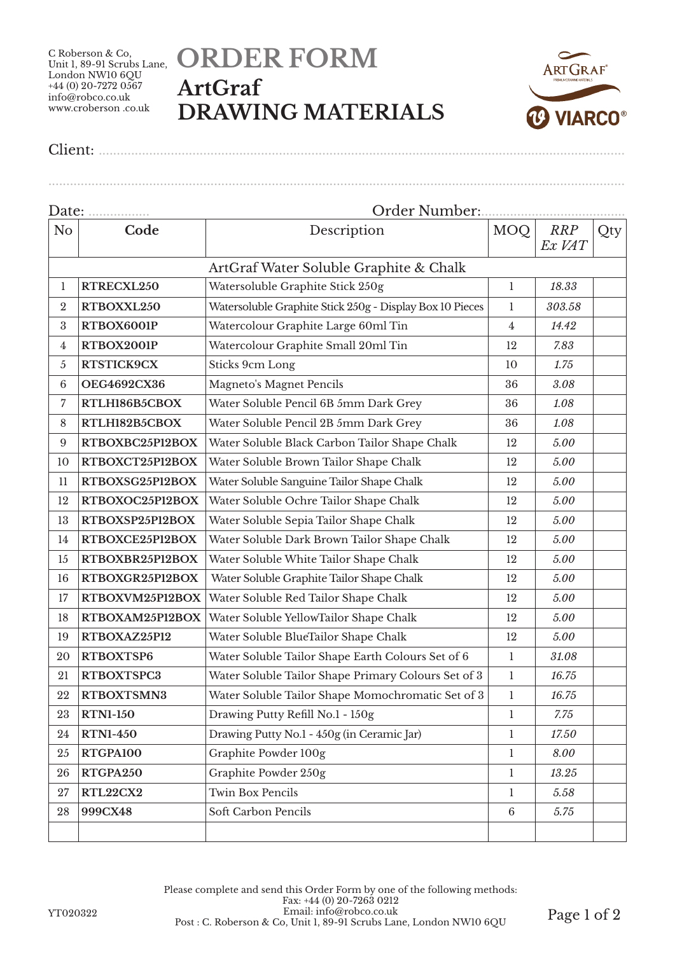C Roberson & Co, Unit 1, 89-91 Scrubs Lane, London NW10 6QU  $+44(0)$  20-7272 0567 info@robco.co.uk www.croberson .co.uk

## **ORDER FORM ArtGraf DRAWING MATERIALS**

................................................................................................................................................................



Client: ..................................................................................................................................................

Date: ................. Order Number:........................................ No **Code Description** MOQ *RRP Ex VAT* **Qty** ArtGraf Water Soluble Graphite & Chalk **RTRECXL250** Watersoluble Graphite Stick 250g 1 1 18.33 **RTBOXXL250** Watersoluble Graphite Stick 250g - Display Box 10 Pieces 1 303.58 **RTBOX6001P** Watercolour Graphite Large 60ml Tin 4 4 *14.42*  **RTBOX2001P** Watercolour Graphite Small 20ml Tin 12 *7.83* **RTSTICK9CX** Sticks 9cm Long 10 1.75 **OEG4692CX36** Magneto's Magnet Pencils 36 *3.08* **RTLH186B5CBOX** Water Soluble Pencil 6B 5mm Dark Grey 36 *1.08* **RTLH182B5CBOX** Water Soluble Pencil 2B 5mm Dark Grey 36 *1.08* **RTBOXBC25P12BOX** Water Soluble Black Carbon Tailor Shape Chalk 12 *5.00* **RTBOXCT25P12BOX** Water Soluble Brown Tailor Shape Chalk 12 *5.00* **RTBOXSG25P12BOX** Water Soluble Sanguine Tailor Shape Chalk 12 *5.00* **RTBOXOC25P12BOX** Water Soluble Ochre Tailor Shape Chalk 12 *5.00* **RTBOXSP25P12BOX** Water Soluble Sepia Tailor Shape Chalk 12 *5.00* **RTBOXCE25P12BOX** Water Soluble Dark Brown Tailor Shape Chalk 12 *5.00* **RTBOXBR25P12BOX** Water Soluble White Tailor Shape Chalk 12 *5.00* **RTBOXGR25P12BOX** Water Soluble Graphite Tailor Shape Chalk 12 *5.00* **RTBOXVM25P12BOX** Water Soluble Red Tailor Shape Chalk 12 *5.00* **RTBOXAM25P12BOX** Water Soluble YellowTailor Shape Chalk 12 *5.00* **RTBOXAZ25P12** Water Soluble BlueTailor Shape Chalk 12 *5.00* **RTBOXTSP6** Water Soluble Tailor Shape Earth Colours Set of 6 1 *31.08* **RTBOXTSPC3** Water Soluble Tailor Shape Primary Colours Set of 3 1 1 16.75 **RTBOXTSMN3** Water Soluble Tailor Shape Momochromatic Set of 3 1 *16.75* **RTN1-150** Drawing Putty Refill No.1 - 150g 1 *7.75* **RTN1-450** Drawing Putty No.1 - 450g (in Ceramic Jar) 1 *17.50* **RTGPA100** Graphite Powder 100g 1 *8.00* **RTGPA250** Graphite Powder 250g 1 *13.25* **RTL22CX2** Twin Box Pencils 1 *5.58* **999CX48** Soft Carbon Pencils 6 *5.75*